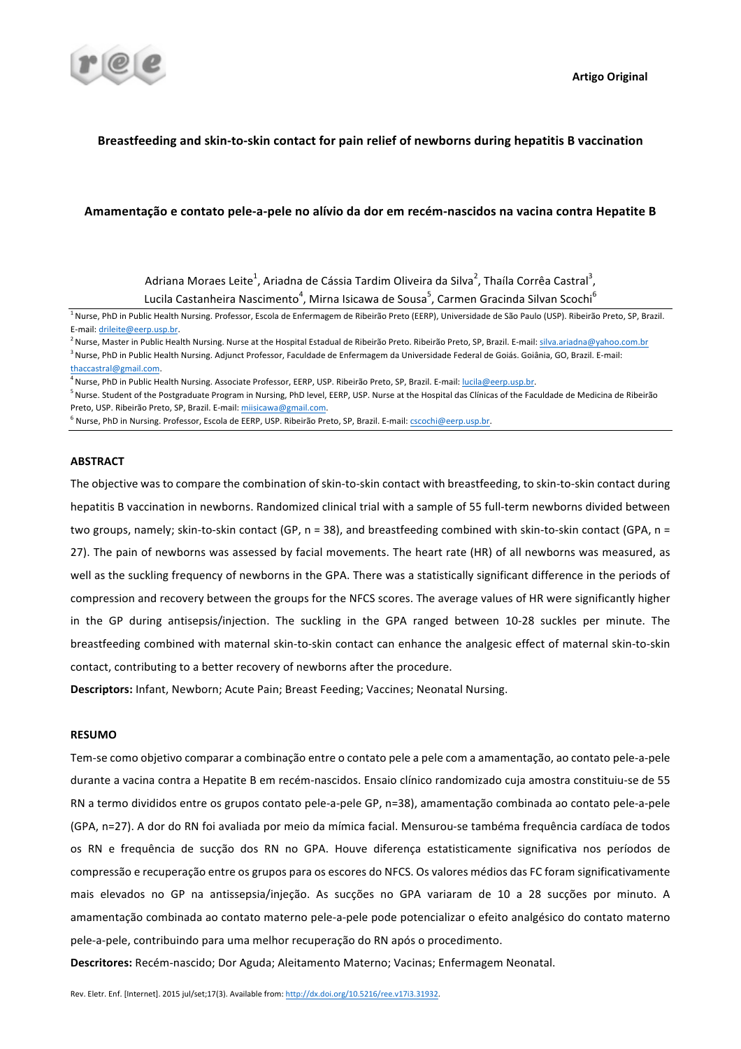# Breastfeeding and skin-to-skin contact for pain relief of newborns during hepatitis B vaccination

## Amamentação e contato pele-a-pele no alívio da dor em recém-nascidos na vacina contra Hepatite B

Adriana Moraes Leite<sup>1</sup>, Ariadna de Cássia Tardim Oliveira da Silva<sup>2</sup>, Thaíla Corrêa Castral<sup>3</sup>, Lucila Castanheira Nascimento<sup>4</sup>, Mirna Isicawa de Sousa<sup>5</sup>, Carmen Gracinda Silvan Scochi<sup>6</sup>

<sup>1</sup> Nurse, PhD in Public Health Nursing. Professor, Escola de Enfermagem de Ribeirão Preto (EERP), Universidade de São Paulo (USP). Ribeirão Preto, SP, Brazil. E-mail: drileite@eerp.usp.br.

<sup>2</sup> Nurse, Master in Public Health Nursing. Nurse at the Hospital Estadual de Ribeirão Preto. Ribeirão Preto, SP, Brazil. E-mail: silva.ariadna@yahoo.com.br <sup>3</sup> Nurse, PhD in Public Health Nursing. Adjunct Professor, Faculdade de Enfermagem da Universidade Federal de Goiás. Goiânia, GO, Brazil. E-mail:

<sup>4</sup> Nurse, PhD in Public Health Nursing. Associate Professor, EERP, USP. Ribeirão Preto, SP, Brazil. E-mail: lucila@eerp.usp.br.

<sup>5</sup> Nurse. Student of the Postgraduate Program in Nursing, PhD level, EERP, USP. Nurse at the Hospital das Clínicas of the Faculdade de Medicina de Ribeirão Preto, USP. Ribeirão Preto, SP, Brazil. E-mail: miisicawa@gmail.com.

 $^6$  Nurse, PhD in Nursing. Professor, Escola de EERP, USP. Ribeirão Preto, SP, Brazil. E-mail:  $\rm cscochi@eerp.usp.br.$ 

### **ABSTRACT**

The obiective was to compare the combination of skin-to-skin contact with breastfeeding, to skin-to-skin contact during hepatitis B vaccination in newborns. Randomized clinical trial with a sample of 55 full-term newborns divided between two groups, namely; skin-to-skin contact (GP,  $n = 38$ ), and breastfeeding combined with skin-to-skin contact (GPA,  $n =$ 27). The pain of newborns was assessed by facial movements. The heart rate (HR) of all newborns was measured, as well as the suckling frequency of newborns in the GPA. There was a statistically significant difference in the periods of compression and recovery between the groups for the NFCS scores. The average values of HR were significantly higher in the GP during antisepsis/injection. The suckling in the GPA ranged between 10-28 suckles per minute. The breastfeeding combined with maternal skin-to-skin contact can enhance the analgesic effect of maternal skin-to-skin contact, contributing to a better recovery of newborns after the procedure.

**Descriptors:** Infant, Newborn: Acute Pain: Breast Feeding: Vaccines: Neonatal Nursing.

## **RESUMO**

Tem-se como objetivo comparar a combinação entre o contato pele a pele com a amamentação, ao contato pele-a-pele durante a vacina contra a Hepatite B em recém-nascidos. Ensaio clínico randomizado cuja amostra constituiu-se de 55 RN a termo divididos entre os grupos contato pele-a-pele GP, n=38), amamentação combinada ao contato pele-a-pele (GPA, n=27). A dor do RN foi avaliada por meio da mímica facial. Mensurou-se tambéma frequência cardíaca de todos os RN e frequência de sucção dos RN no GPA. Houve diferença estatisticamente significativa nos períodos de compressão e recuperação entre os grupos para os escores do NFCS. Os valores médios das FC foram significativamente mais elevados no GP na antissepsia/injeção. As sucções no GPA variaram de 10 a 28 sucções por minuto. A amamentação combinada ao contato materno pele-a-pele pode potencializar o efeito analgésico do contato materno pele-a-pele, contribuindo para uma melhor recuperação do RN após o procedimento.

Descritores: Recém-nascido; Dor Aguda; Aleitamento Materno; Vacinas; Enfermagem Neonatal.

thaccastral@gmail.com.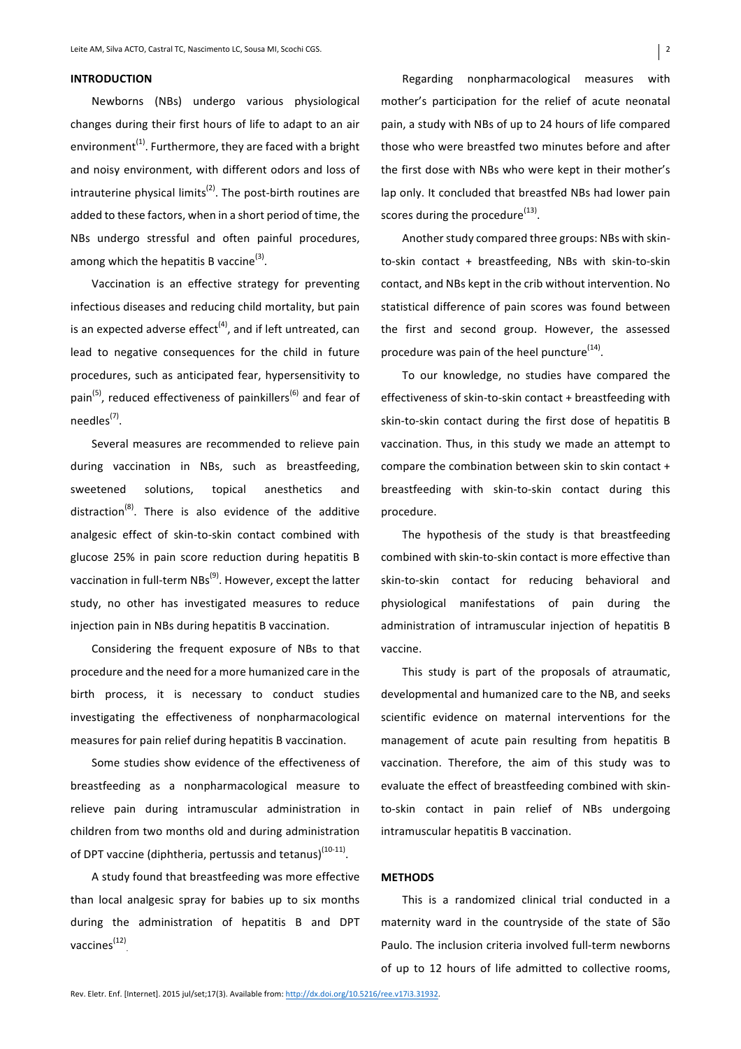### **INTRODUCTION**

Newborns (NBs) undergo various physiological changes during their first hours of life to adapt to an air environment<sup>(1)</sup>. Furthermore, they are faced with a bright and noisy environment, with different odors and loss of intrauterine physical limits<sup>(2)</sup>. The post-birth routines are added to these factors, when in a short period of time, the NBs undergo stressful and often painful procedures, among which the hepatitis B vaccine<sup>(3)</sup>.

Vaccination is an effective strategy for preventing infectious diseases and reducing child mortality, but pain is an expected adverse effect $(4)$ , and if left untreated, can lead to negative consequences for the child in future procedures, such as anticipated fear, hypersensitivity to pain<sup>(5)</sup>, reduced effectiveness of painkillers<sup>(6)</sup> and fear of  $needles<sup>(7)</sup>$ .

Several measures are recommended to relieve pain during vaccination in NBs, such as breastfeeding, sweetened solutions, topical anesthetics and distraction<sup>(8)</sup>. There is also evidence of the additive analgesic effect of skin-to-skin contact combined with glucose 25% in pain score reduction during hepatitis B vaccination in full-term  $NBS^{(9)}$ . However, except the latter study, no other has investigated measures to reduce injection pain in NBs during hepatitis B vaccination.

Considering the frequent exposure of NBs to that procedure and the need for a more humanized care in the birth process, it is necessary to conduct studies investigating the effectiveness of nonpharmacological measures for pain relief during hepatitis B vaccination.

Some studies show evidence of the effectiveness of breastfeeding as a nonpharmacological measure to relieve pain during intramuscular administration in children from two months old and during administration of DPT vaccine (diphtheria, pertussis and tetanus)<sup>(10-11)</sup>.

A study found that breastfeeding was more effective than local analgesic spray for babies up to six months during the administration of hepatitis B and DPT vaccines $^{(12)}$ 

Regarding nonpharmacological measures with mother's participation for the relief of acute neonatal pain, a study with NBs of up to 24 hours of life compared those who were breastfed two minutes before and after the first dose with NBs who were kept in their mother's lap only. It concluded that breastfed NBs had lower pain scores during the procedure $^{(13)}$ .

Another study compared three groups: NBs with skinto-skin contact + breastfeeding, NBs with skin-to-skin contact, and NBs kept in the crib without intervention. No statistical difference of pain scores was found between the first and second group. However, the assessed procedure was pain of the heel puncture<sup>(14)</sup>.

To our knowledge, no studies have compared the effectiveness of skin-to-skin contact  $+$  breastfeeding with skin-to-skin contact during the first dose of hepatitis B vaccination. Thus, in this study we made an attempt to compare the combination between skin to skin contact  $+$ breastfeeding with skin-to-skin contact during this procedure.

The hypothesis of the study is that breastfeeding combined with skin-to-skin contact is more effective than skin-to-skin contact for reducing behavioral and physiological manifestations of pain during the administration of intramuscular injection of hepatitis B vaccine.

This study is part of the proposals of atraumatic, developmental and humanized care to the NB, and seeks scientific evidence on maternal interventions for the management of acute pain resulting from hepatitis B vaccination. Therefore, the aim of this study was to evaluate the effect of breastfeeding combined with skinto-skin contact in pain relief of NBs undergoing intramuscular hepatitis B vaccination.

### **METHODS**

This is a randomized clinical trial conducted in a maternity ward in the countryside of the state of São Paulo. The inclusion criteria involved full-term newborns of up to 12 hours of life admitted to collective rooms,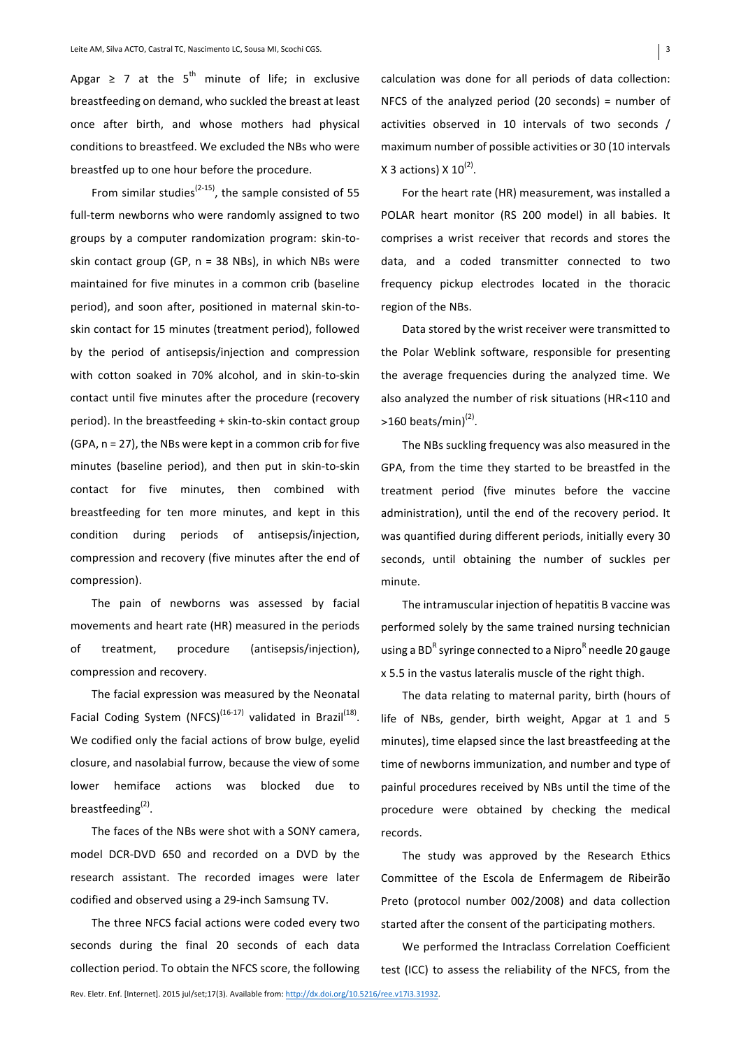Apgar  $\geq$  7 at the 5<sup>th</sup> minute of life; in exclusive breastfeeding on demand, who suckled the breast at least once after birth, and whose mothers had physical conditions to breastfeed. We excluded the NBs who were breastfed up to one hour before the procedure.

From similar studies<sup>(2-15)</sup>, the sample consisted of 55 full-term newborns who were randomly assigned to two groups by a computer randomization program: skin-toskin contact group (GP,  $n = 38$  NBs), in which NBs were maintained for five minutes in a common crib (baseline period), and soon after, positioned in maternal skin-toskin contact for 15 minutes (treatment period), followed by the period of antisepsis/injection and compression with cotton soaked in 70% alcohol, and in skin-to-skin contact until five minutes after the procedure (recovery period). In the breastfeeding + skin-to-skin contact group (GPA,  $n = 27$ ), the NBs were kept in a common crib for five minutes (baseline period), and then put in skin-to-skin contact for five minutes, then combined with breastfeeding for ten more minutes, and kept in this condition during periods of antisepsis/injection, compression and recovery (five minutes after the end of compression).

The pain of newborns was assessed by facial movements and heart rate (HR) measured in the periods of treatment, procedure (antisepsis/injection), compression and recovery.

The facial expression was measured by the Neonatal Facial Coding System (NFCS)<sup>(16-17)</sup> validated in Brazil<sup>(18)</sup>. We codified only the facial actions of brow bulge, eyelid closure, and nasolabial furrow, because the view of some lower hemiface actions was blocked due to breastfeeding<sup>(2)</sup>.

The faces of the NBs were shot with a SONY camera, model DCR-DVD 650 and recorded on a DVD by the research assistant. The recorded images were later codified and observed using a 29-inch Samsung TV.

The three NFCS facial actions were coded every two seconds during the final 20 seconds of each data collection period. To obtain the NFCS score, the following calculation was done for all periods of data collection: NFCS of the analyzed period  $(20$  seconds) = number of activities observed in 10 intervals of two seconds / maximum number of possible activities or 30 (10 intervals X 3 actions)  $X$  10<sup>(2)</sup>.

For the heart rate (HR) measurement, was installed a POLAR heart monitor (RS 200 model) in all babies. It comprises a wrist receiver that records and stores the data, and a coded transmitter connected to two frequency pickup electrodes located in the thoracic region of the NBs.

Data stored by the wrist receiver were transmitted to the Polar Weblink software, responsible for presenting the average frequencies during the analyzed time. We also analyzed the number of risk situations (HR<110 and  $>160$  beats/min)<sup>(2)</sup>.

The NBs suckling frequency was also measured in the GPA, from the time they started to be breastfed in the treatment period (five minutes before the vaccine administration), until the end of the recovery period. It was quantified during different periods, initially every 30 seconds, until obtaining the number of suckles per minute.

The intramuscular injection of hepatitis B vaccine was performed solely by the same trained nursing technician using a BD<sup>R</sup> syringe connected to a Nipro<sup>R</sup> needle 20 gauge x 5.5 in the vastus lateralis muscle of the right thigh.

The data relating to maternal parity, birth (hours of life of NBs, gender, birth weight, Apgar at 1 and 5 minutes), time elapsed since the last breastfeeding at the time of newborns immunization, and number and type of painful procedures received by NBs until the time of the procedure were obtained by checking the medical records.

The study was approved by the Research Ethics Committee of the Escola de Enfermagem de Ribeirão Preto (protocol number 002/2008) and data collection started after the consent of the participating mothers.

We performed the Intraclass Correlation Coefficient test (ICC) to assess the reliability of the NFCS, from the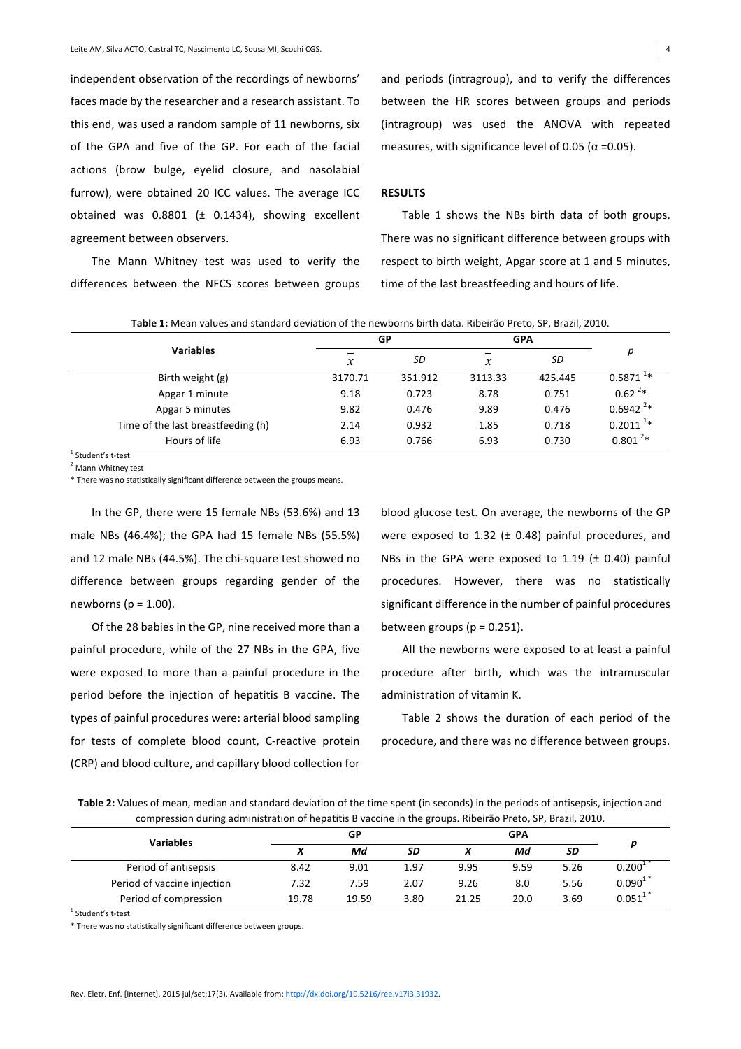independent observation of the recordings of newborns' faces made by the researcher and a research assistant. To this end, was used a random sample of 11 newborns, six of the GPA and five of the GP. For each of the facial actions (brow bulge, eyelid closure, and nasolabial furrow), were obtained 20 ICC values. The average ICC obtained was  $0.8801$  ( $\pm$  0.1434), showing excellent agreement between observers.

The Mann Whitney test was used to verify the differences between the NFCS scores between groups and periods (intragroup), and to verify the differences between the HR scores between groups and periods (intragroup) was used the ANOVA with repeated measures, with significance level of 0.05 ( $\alpha$  =0.05).

# **RESULTS**

Table 1 shows the NBs birth data of both groups. There was no significant difference between groups with respect to birth weight, Apgar score at 1 and 5 minutes, time of the last breastfeeding and hours of life.

Table 1: Mean values and standard deviation of the newborns birth data. Ribeirão Preto, SP, Brazil, 2010.

|                                    |               | GP      | <b>GPA</b> |         |                        |
|------------------------------------|---------------|---------|------------|---------|------------------------|
| <b>Variables</b>                   | $\mathcal{X}$ | SD      | x          | SD      | р                      |
| Birth weight (g)                   | 3170.71       | 351.912 | 3113.33    | 425.445 | $0.5871$ <sup>1*</sup> |
| Apgar 1 minute                     | 9.18          | 0.723   | 8.78       | 0.751   | $0.62^{2*}$            |
| Apgar 5 minutes                    | 9.82          | 0.476   | 9.89       | 0.476   | $0.6942^{2*}$          |
| Time of the last breastfeeding (h) | 2.14          | 0.932   | 1.85       | 0.718   | $0.2011^{1*}$          |
| Hours of life                      | 6.93          | 0.766   | 6.93       | 0.730   | $0.801^{2*}$           |
| Student's t-test                   |               |         |            |         |                        |

<sup>2</sup> Mann Whitney test

\* There was no statistically significant difference between the groups means.

In the GP, there were 15 female NBs (53.6%) and 13 male NBs  $(46.4%)$ ; the GPA had 15 female NBs  $(55.5%)$ and 12 male NBs (44.5%). The chi-square test showed no difference between groups regarding gender of the newborns ( $p = 1.00$ ).

Of the 28 babies in the GP, nine received more than a painful procedure, while of the 27 NBs in the GPA, five were exposed to more than a painful procedure in the period before the injection of hepatitis B vaccine. The types of painful procedures were: arterial blood sampling for tests of complete blood count, C-reactive protein (CRP) and blood culture, and capillary blood collection for

blood glucose test. On average, the newborns of the GP were exposed to 1.32 ( $\pm$  0.48) painful procedures, and NBs in the GPA were exposed to 1.19 ( $\pm$  0.40) painful procedures. However, there was no statistically significant difference in the number of painful procedures between groups  $(p = 0.251)$ .

All the newborns were exposed to at least a painful procedure after birth, which was the intramuscular administration of vitamin K.

Table 2 shows the duration of each period of the procedure, and there was no difference between groups.

Table 2: Values of mean, median and standard deviation of the time spent (in seconds) in the periods of antisepsis, injection and compression during administration of hepatitis B vaccine in the groups. Ribeirão Preto, SP, Brazil, 2010.

|                             |             | GР    |      |       | <b>GPA</b> |           |                    |
|-----------------------------|-------------|-------|------|-------|------------|-----------|--------------------|
| <b>Variables</b>            | $\mathbf v$ | Md    | SD   |       | Мd         | <b>SD</b> | D                  |
| Period of antisepsis        | 8.42        | 9.01  | 1.97 | 9.95  | 9.59       | 5.26      | 0.200 <sup>1</sup> |
| Period of vaccine injection | 7.32        | 7.59  | 2.07 | 9.26  | 8.0        | 5.56      | $0.090^{17}$       |
| Period of compression       | 19.78       | 19.59 | 3.80 | 21.25 | 20.0       | 3.69      | $0.051^{1*}$       |

<sup>1</sup> Student's t-test

\* There was no statistically significant difference between groups.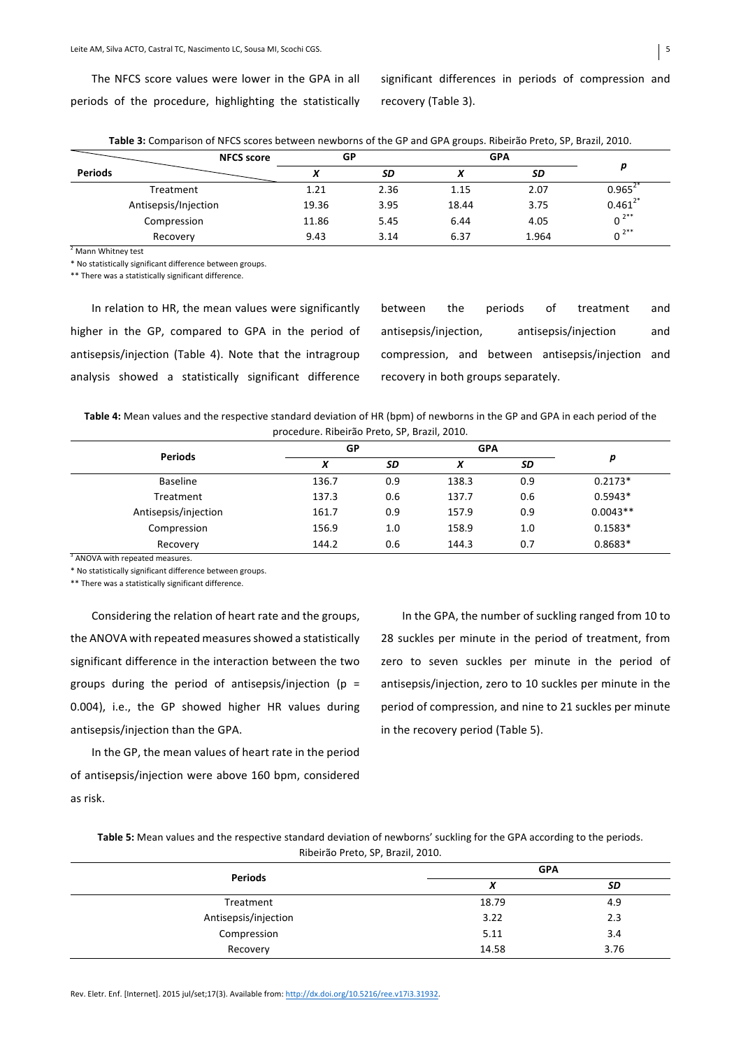The NFCS score values were lower in the GPA in all periods of the procedure, highlighting the statistically significant differences in periods of compression and recovery (Table 3).

|                      | <b>NFCS score</b> | GP    |      | <b>GPA</b> |           |              |
|----------------------|-------------------|-------|------|------------|-----------|--------------|
| <b>Periods</b>       |                   |       | SD   |            | <b>SD</b> |              |
| Treatment            |                   | 1.21  | 2.36 | 1.15       | 2.07      | $0.965^2$    |
| Antisepsis/Injection |                   | 19.36 | 3.95 | 18.44      | 3.75      | $0.461^{2*}$ |
| Compression          |                   | 11.86 | 5.45 | 6.44       | 4.05      | $0^{2**}$    |
| Recovery             |                   | 9.43  | 3.14 | 6.37       | 1.964     | $0^{2**}$    |

**Table 3:** Comparison of NFCS scores between newborns of the GP and GPA groups. Ribeirão Preto, SP, Brazil, 2010.

 $2$  Mann Whitney test

\* No statistically significant difference between groups.

\*\* There was a statistically significant difference.

| In relation to HR, the mean values were significantly    |
|----------------------------------------------------------|
| higher in the GP, compared to GPA in the period of       |
| antisepsis/injection (Table 4). Note that the intragroup |
| analysis showed a statistically significant difference   |

between the periods of treatment and antisepsis/injection, antisepsis/injection and compression, and between antisepsis/injection and recovery in both groups separately.

Table 4: Mean values and the respective standard deviation of HR (bpm) of newborns in the GP and GPA in each period of the procedure. Ribeirão Preto, SP, Brazil, 2010.

| <b>Periods</b>       | GP    |     | <b>GPA</b> |     |            |
|----------------------|-------|-----|------------|-----|------------|
|                      | X     | SD  | v          | SD  | p          |
| <b>Baseline</b>      | 136.7 | 0.9 | 138.3      | 0.9 | $0.2173*$  |
| Treatment            | 137.3 | 0.6 | 137.7      | 0.6 | $0.5943*$  |
| Antisepsis/injection | 161.7 | 0.9 | 157.9      | 0.9 | $0.0043**$ |
| Compression          | 156.9 | 1.0 | 158.9      | 1.0 | $0.1583*$  |
| Recovery             | 144.2 | 0.6 | 144.3      | 0.7 | $0.8683*$  |

<sup>3</sup> ANOVA with repeated measures.

\* No statistically significant difference between groups.

\*\* There was a statistically significant difference.

Considering the relation of heart rate and the groups, the ANOVA with repeated measures showed a statistically significant difference in the interaction between the two groups during the period of antisepsis/injection (p = 0.004), i.e., the GP showed higher HR values during antisepsis/injection than the GPA.

In the GP, the mean values of heart rate in the period of antisepsis/injection were above 160 bpm, considered as risk.

In the GPA, the number of suckling ranged from 10 to 28 suckles per minute in the period of treatment, from zero to seven suckles per minute in the period of antisepsis/injection, zero to 10 suckles per minute in the period of compression, and nine to 21 suckles per minute in the recovery period (Table 5).

| Table 5: Mean values and the respective standard deviation of newborns' suckling for the GPA according to the periods. |
|------------------------------------------------------------------------------------------------------------------------|
| Ribeirão Preto, SP, Brazil, 2010.                                                                                      |

| <b>Periods</b>       | <b>GPA</b> |      |  |  |
|----------------------|------------|------|--|--|
|                      | v<br>Λ     | SD   |  |  |
| Treatment            | 18.79      | 4.9  |  |  |
| Antisepsis/injection | 3.22       | 2.3  |  |  |
| Compression          | 5.11       | 3.4  |  |  |
| Recovery             | 14.58      | 3.76 |  |  |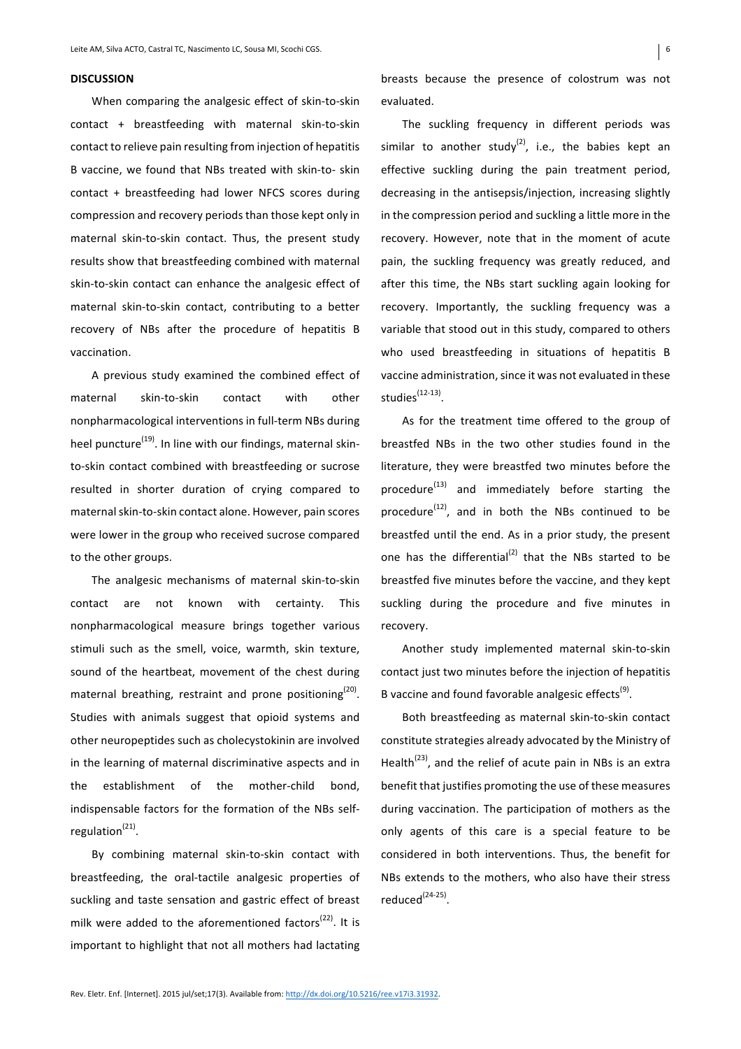#### **DISCUSSION**

When comparing the analgesic effect of skin-to-skin contact + breastfeeding with maternal skin-to-skin contact to relieve pain resulting from injection of hepatitis B vaccine, we found that NBs treated with skin-to- skin contact + breastfeeding had lower NFCS scores during compression and recovery periods than those kept only in maternal skin-to-skin contact. Thus, the present study results show that breastfeeding combined with maternal skin-to-skin contact can enhance the analgesic effect of maternal skin-to-skin contact, contributing to a better recovery of NBs after the procedure of hepatitis B vaccination.

A previous study examined the combined effect of maternal skin-to-skin contact with other nonpharmacological interventions in full-term NBs during heel puncture<sup>(19)</sup>. In line with our findings, maternal skinto-skin contact combined with breastfeeding or sucrose resulted in shorter duration of crying compared to maternal skin-to-skin contact alone. However, pain scores were lower in the group who received sucrose compared to the other groups.

The analgesic mechanisms of maternal skin-to-skin contact are not known with certainty. This nonpharmacological measure brings together various stimuli such as the smell, voice, warmth, skin texture, sound of the heartbeat, movement of the chest during maternal breathing, restraint and prone positioning<sup>(20)</sup>. Studies with animals suggest that opioid systems and other neuropeptides such as cholecystokinin are involved in the learning of maternal discriminative aspects and in the establishment of the mother-child bond. indispensable factors for the formation of the NBs selfregulation $^{(21)}$ .

By combining maternal skin-to-skin contact with breastfeeding, the oral-tactile analgesic properties of suckling and taste sensation and gastric effect of breast milk were added to the aforementioned factors<sup>(22)</sup>. It is important to highlight that not all mothers had lactating

breasts because the presence of colostrum was not evaluated.

The suckling frequency in different periods was similar to another study<sup>(2)</sup>, i.e., the babies kept an effective suckling during the pain treatment period, decreasing in the antisepsis/injection, increasing slightly in the compression period and suckling a little more in the recovery. However, note that in the moment of acute pain, the suckling frequency was greatly reduced, and after this time, the NBs start suckling again looking for recovery. Importantly, the suckling frequency was a variable that stood out in this study, compared to others who used breastfeeding in situations of hepatitis B vaccine administration, since it was not evaluated in these studies<sup>(12-13)</sup>.

As for the treatment time offered to the group of breastfed NBs in the two other studies found in the literature, they were breastfed two minutes before the procedure $^{(13)}$  and immediately before starting the procedure $^{(12)}$ , and in both the NBs continued to be breastfed until the end. As in a prior study, the present one has the differential<sup>(2)</sup> that the NBs started to be breastfed five minutes before the vaccine, and they kept suckling during the procedure and five minutes in recovery.

Another study implemented maternal skin-to-skin contact just two minutes before the injection of hepatitis B vaccine and found favorable analgesic effects<sup>(9)</sup>.

Both breastfeeding as maternal skin-to-skin contact constitute strategies already advocated by the Ministry of Health<sup>(23)</sup>, and the relief of acute pain in NBs is an extra benefit that justifies promoting the use of these measures during vaccination. The participation of mothers as the only agents of this care is a special feature to be considered in both interventions. Thus, the benefit for NBs extends to the mothers, who also have their stress reduced $(24-25)$ .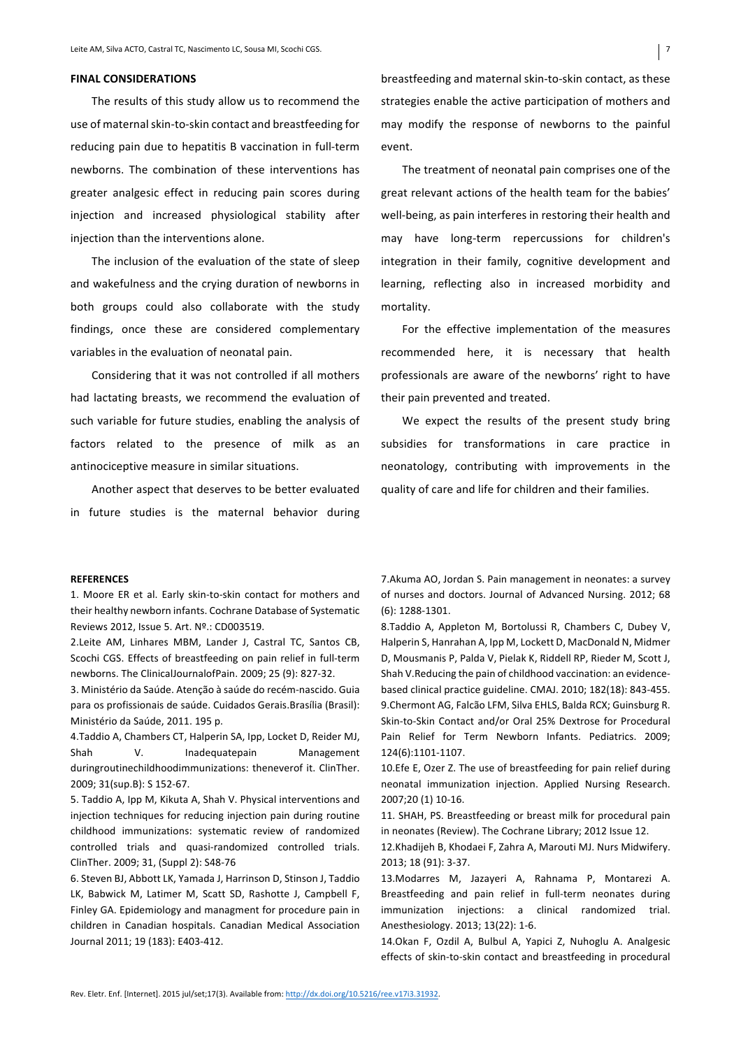### **FINAL CONSIDERATIONS**

The results of this study allow us to recommend the use of maternal skin-to-skin contact and breastfeeding for reducing pain due to hepatitis B vaccination in full-term newborns. The combination of these interventions has greater analgesic effect in reducing pain scores during injection and increased physiological stability after injection than the interventions alone.

The inclusion of the evaluation of the state of sleep and wakefulness and the crying duration of newborns in both groups could also collaborate with the study findings, once these are considered complementary variables in the evaluation of neonatal pain.

Considering that it was not controlled if all mothers had lactating breasts, we recommend the evaluation of such variable for future studies, enabling the analysis of factors related to the presence of milk as an antinociceptive measure in similar situations.

Another aspect that deserves to be better evaluated in future studies is the maternal behavior during breastfeeding and maternal skin-to-skin contact, as these strategies enable the active participation of mothers and may modify the response of newborns to the painful event.

The treatment of neonatal pain comprises one of the great relevant actions of the health team for the babies' well-being, as pain interferes in restoring their health and may have long-term repercussions for children's integration in their family, cognitive development and learning, reflecting also in increased morbidity and mortality.

For the effective implementation of the measures recommended here, it is necessary that health professionals are aware of the newborns' right to have their pain prevented and treated.

We expect the results of the present study bring subsidies for transformations in care practice in neonatology, contributing with improvements in the quality of care and life for children and their families.

#### **REFERENCES**

1. Moore ER et al. Early skin-to-skin contact for mothers and their healthy newborn infants. Cochrane Database of Systematic Reviews 2012, Issue 5. Art. Nº.: CD003519.

2.Leite AM, Linhares MBM, Lander J, Castral TC, Santos CB, Scochi CGS. Effects of breastfeeding on pain relief in full-term newborns. The ClinicalJournalofPain. 2009; 25 (9): 827-32.

3. Ministério da Saúde. Atenção à saúde do recém-nascido. Guia para os profissionais de saúde. Cuidados Gerais.Brasília (Brasil): Ministério da Saúde, 2011. 195 p.

4.Taddio A, Chambers CT, Halperin SA, Ipp, Locket D, Reider MJ, Shah V. Inadequatepain Management duringroutinechildhoodimmunizations: theneverof it. ClinTher. 2009; 31(sup.B): S 152-67.

5. Taddio A, Ipp M, Kikuta A, Shah V. Physical interventions and injection techniques for reducing injection pain during routine childhood immunizations: systematic review of randomized controlled trials and quasi-randomized controlled trials. ClinTher. 2009; 31, (Suppl 2): S48-76

6. Steven BJ, Abbott LK, Yamada J, Harrinson D, Stinson J, Taddio LK, Babwick M, Latimer M, Scatt SD, Rashotte J, Campbell F, Finley GA. Epidemiology and managment for procedure pain in children in Canadian hospitals. Canadian Medical Association Journal 2011; 19 (183): E403-412.

7. Akuma AO, Jordan S. Pain management in neonates: a survey of nurses and doctors. Journal of Advanced Nursing. 2012; 68 (6): 1288-1301.

8.Taddio A, Appleton M, Bortolussi R, Chambers C, Dubey V, Halperin S, Hanrahan A, Ipp M, Lockett D, MacDonald N, Midmer D, Mousmanis P, Palda V, Pielak K, Riddell RP, Rieder M, Scott J, Shah V.Reducing the pain of childhood vaccination: an evidencebased clinical practice guideline. CMAJ. 2010; 182(18): 843-455. 9. Chermont AG, Falcão LFM, Silva EHLS, Balda RCX; Guinsburg R. Skin-to-Skin Contact and/or Oral 25% Dextrose for Procedural Pain Relief for Term Newborn Infants. Pediatrics. 2009; 124(6):1101-1107.

10.Efe E, Ozer Z. The use of breastfeeding for pain relief during neonatal immunization injection. Applied Nursing Research. 2007;20 (1) 10-16.

11. SHAH, PS. Breastfeeding or breast milk for procedural pain in neonates (Review). The Cochrane Library; 2012 Issue 12.

12.Khadijeh B, Khodaei F, Zahra A, Marouti MJ. Nurs Midwifery. 2013; 18 (91): 3-37.

13. Modarres M, Jazayeri A, Rahnama P, Montarezi A. Breastfeeding and pain relief in full-term neonates during immunization injections: a clinical randomized trial. Anesthesiology. 2013; 13(22): 1-6.

14.Okan F, Ozdil A, Bulbul A, Yapici Z, Nuhoglu A. Analgesic effects of skin-to-skin contact and breastfeeding in procedural